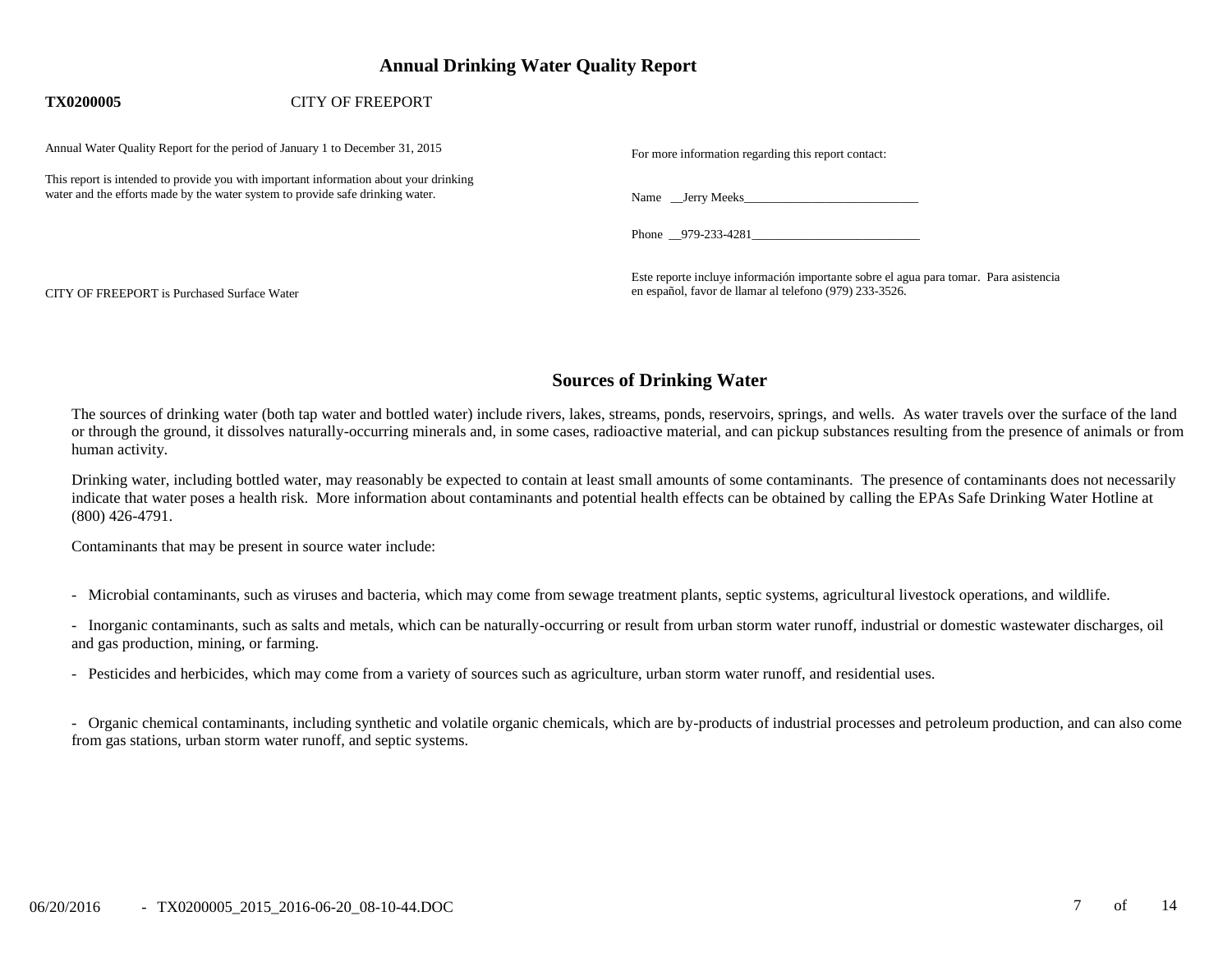# **Annual Drinking Water Quality Report**

#### **TX0200005** CITY OF FREEPORT

Annual Water Quality Report for the period of January 1 to December 31, 2015

This report is intended to provide you with important information about your drinking water and the efforts made by the water system to provide safe drinking water. Name \_\_Jerry Meeks\_\_\_\_\_\_\_\_\_\_\_\_\_\_\_\_\_\_\_\_\_\_\_\_\_\_\_\_

| For more information regarding this report contact: |  |  |
|-----------------------------------------------------|--|--|
|                                                     |  |  |

Phone 979-233-4281

Este reporte incluye información importante sobre el agua para tomar. Para asistencia CITY OF FREEPORT is Purchased Surface Water en español, favor de llamar al telefono (979) 233-3526.

# **Sources of Drinking Water**

The sources of drinking water (both tap water and bottled water) include rivers, lakes, streams, ponds, reservoirs, springs, and wells. As water travels over the surface of the land or through the ground, it dissolves naturally-occurring minerals and, in some cases, radioactive material, and can pickup substances resulting from the presence of animals or from human activity.

Drinking water, including bottled water, may reasonably be expected to contain at least small amounts of some contaminants. The presence of contaminants does not necessarily indicate that water poses a health risk. More information about contaminants and potential health effects can be obtained by calling the EPAs Safe Drinking Water Hotline at (800) 426-4791.

Contaminants that may be present in source water include:

- Microbial contaminants, such as viruses and bacteria, which may come from sewage treatment plants, septic systems, agricultural livestock operations, and wildlife.

- Inorganic contaminants, such as salts and metals, which can be naturally-occurring or result from urban storm water runoff, industrial or domestic wastewater discharges, oil and gas production, mining, or farming.

- Pesticides and herbicides, which may come from a variety of sources such as agriculture, urban storm water runoff, and residential uses.

- Organic chemical contaminants, including synthetic and volatile organic chemicals, which are by-products of industrial processes and petroleum production, and can also come from gas stations, urban storm water runoff, and septic systems.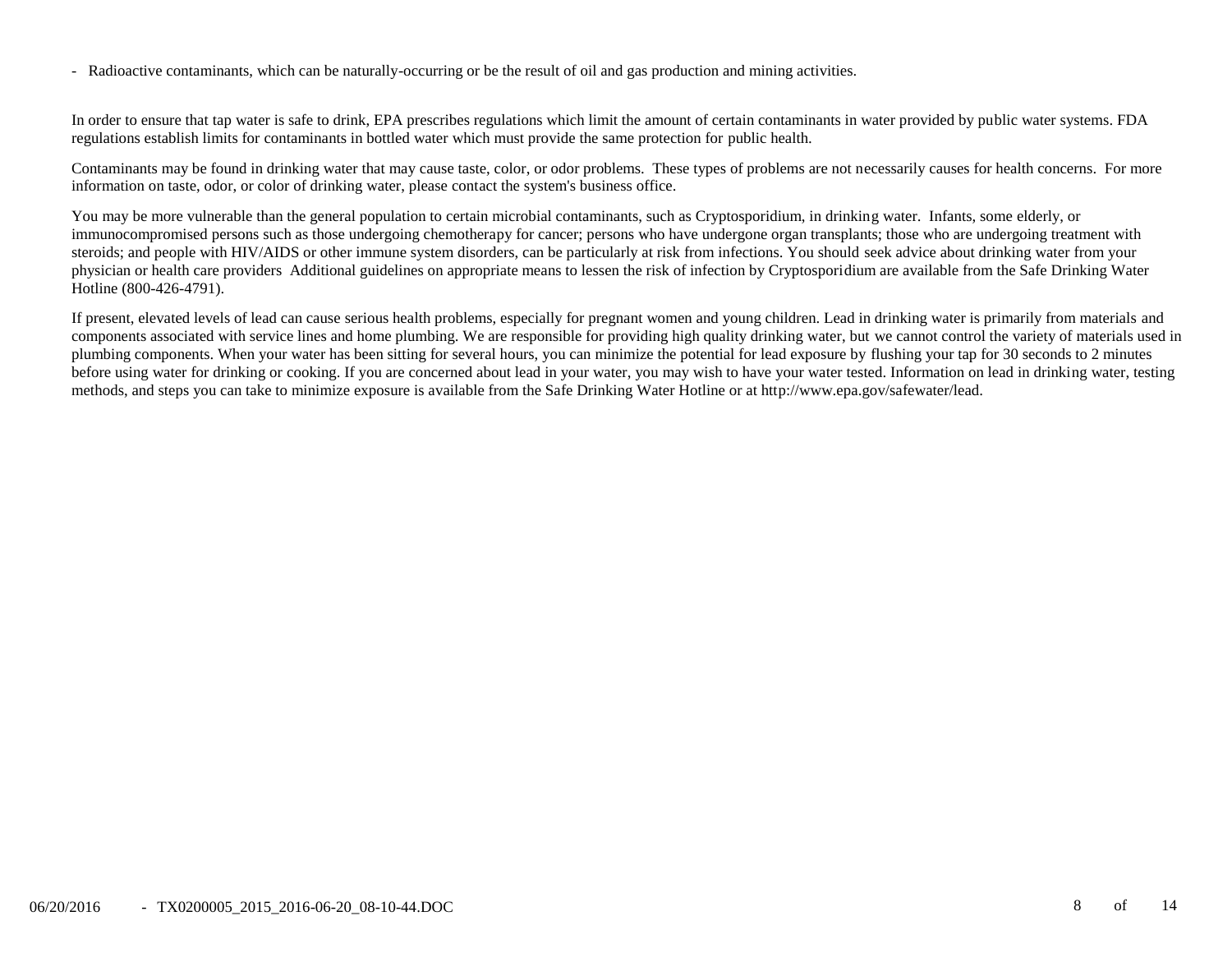- Radioactive contaminants, which can be naturally-occurring or be the result of oil and gas production and mining activities.

In order to ensure that tap water is safe to drink, EPA prescribes regulations which limit the amount of certain contaminants in water provided by public water systems. FDA regulations establish limits for contaminants in bottled water which must provide the same protection for public health.

Contaminants may be found in drinking water that may cause taste, color, or odor problems. These types of problems are not necessarily causes for health concerns. For more information on taste, odor, or color of drinking water, please contact the system's business office.

You may be more vulnerable than the general population to certain microbial contaminants, such as Cryptosporidium, in drinking water. Infants, some elderly, or immunocompromised persons such as those undergoing chemotherapy for cancer; persons who have undergone organ transplants; those who are undergoing treatment with steroids; and people with HIV/AIDS or other immune system disorders, can be particularly at risk from infections. You should seek advice about drinking water from your physician or health care providers Additional guidelines on appropriate means to lessen the risk of infection by Cryptosporidium are available from the Safe Drinking Water Hotline (800-426-4791).

If present, elevated levels of lead can cause serious health problems, especially for pregnant women and young children. Lead in drinking water is primarily from materials and components associated with service lines and home plumbing. We are responsible for providing high quality drinking water, but we cannot control the variety of materials used in plumbing components. When your water has been sitting for several hours, you can minimize the potential for lead exposure by flushing your tap for 30 seconds to 2 minutes before using water for drinking or cooking. If you are concerned about lead in your water, you may wish to have your water tested. Information on lead in drinking water, testing methods, and steps you can take to minimize exposure is available from the Safe Drinking Water Hotline or at http://www.epa.gov/safewater/lead.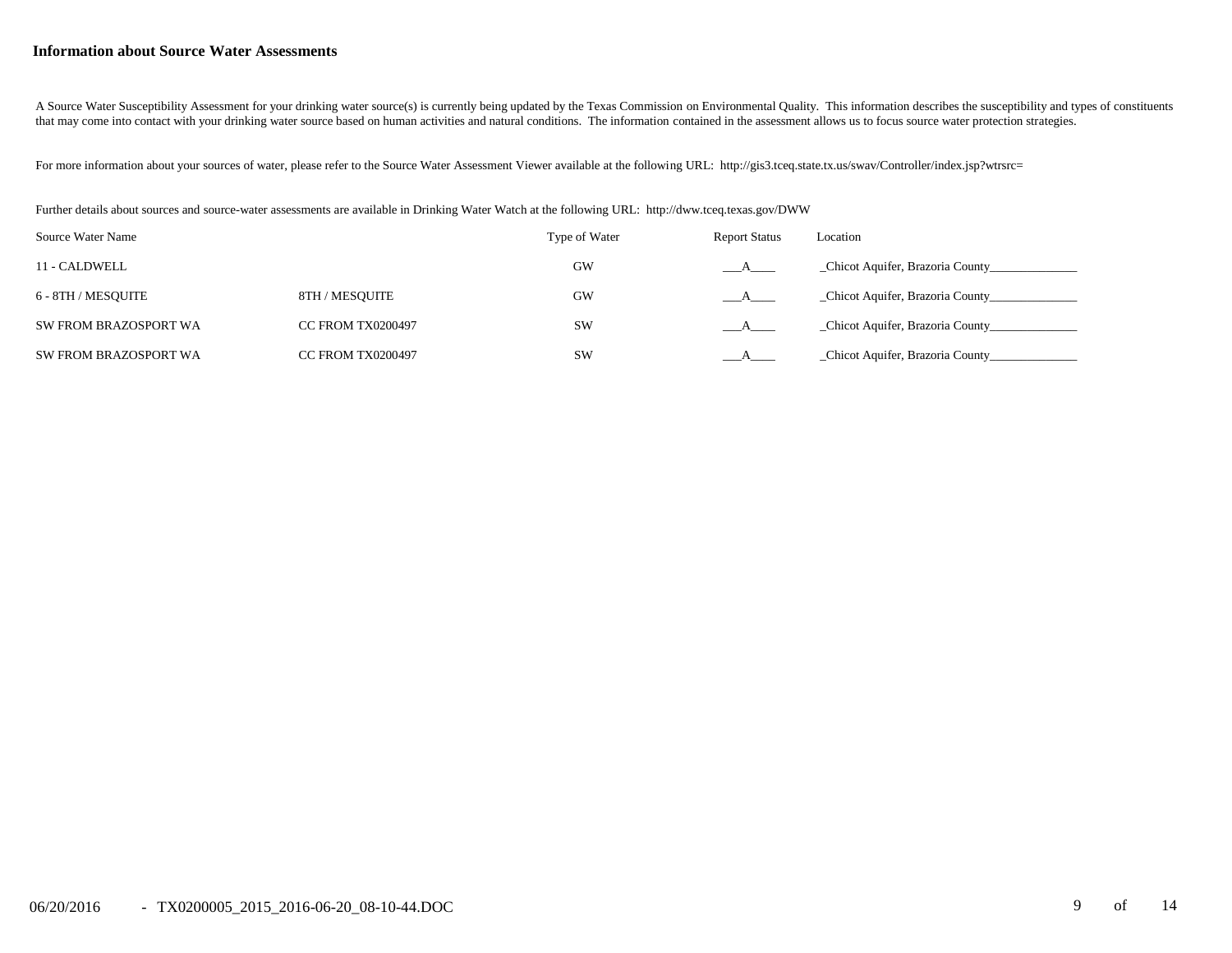#### **Information about Source Water Assessments**

A Source Water Susceptibility Assessment for your drinking water source(s) is currently being updated by the Texas Commission on Environmental Quality. This information describes the susceptibility and types of constituent that may come into contact with your drinking water source based on human activities and natural conditions. The information contained in the assessment allows us to focus source water protection strategies.

For more information about your sources of water, please refer to the Source Water Assessment Viewer available at the following URL: http://gis3.tceq.state.tx.us/swav/Controller/index.jsp?wtrsrc=

Further details about sources and source-water assessments are available in Drinking Water Watch at the following URL: http://dww.tceq.texas.gov/DWW

| Source Water Name     |                          | Type of Water | <b>Report Status</b> | Location                          |
|-----------------------|--------------------------|---------------|----------------------|-----------------------------------|
| 11 - CALDWELL         |                          | <b>GW</b>     |                      | _Chicot Aquifer, Brazoria County_ |
| 6 - 8TH / MESOUITE    | 8TH / MESOUITE           | <b>GW</b>     |                      | _Chicot Aquifer, Brazoria County_ |
| SW FROM BRAZOSPORT WA | <b>CC FROM TX0200497</b> | <b>SW</b>     |                      | _Chicot Aquifer, Brazoria County_ |
| SW FROM BRAZOSPORT WA | <b>CC FROM TX0200497</b> | <b>SW</b>     |                      | Chicot Aquifer, Brazoria County   |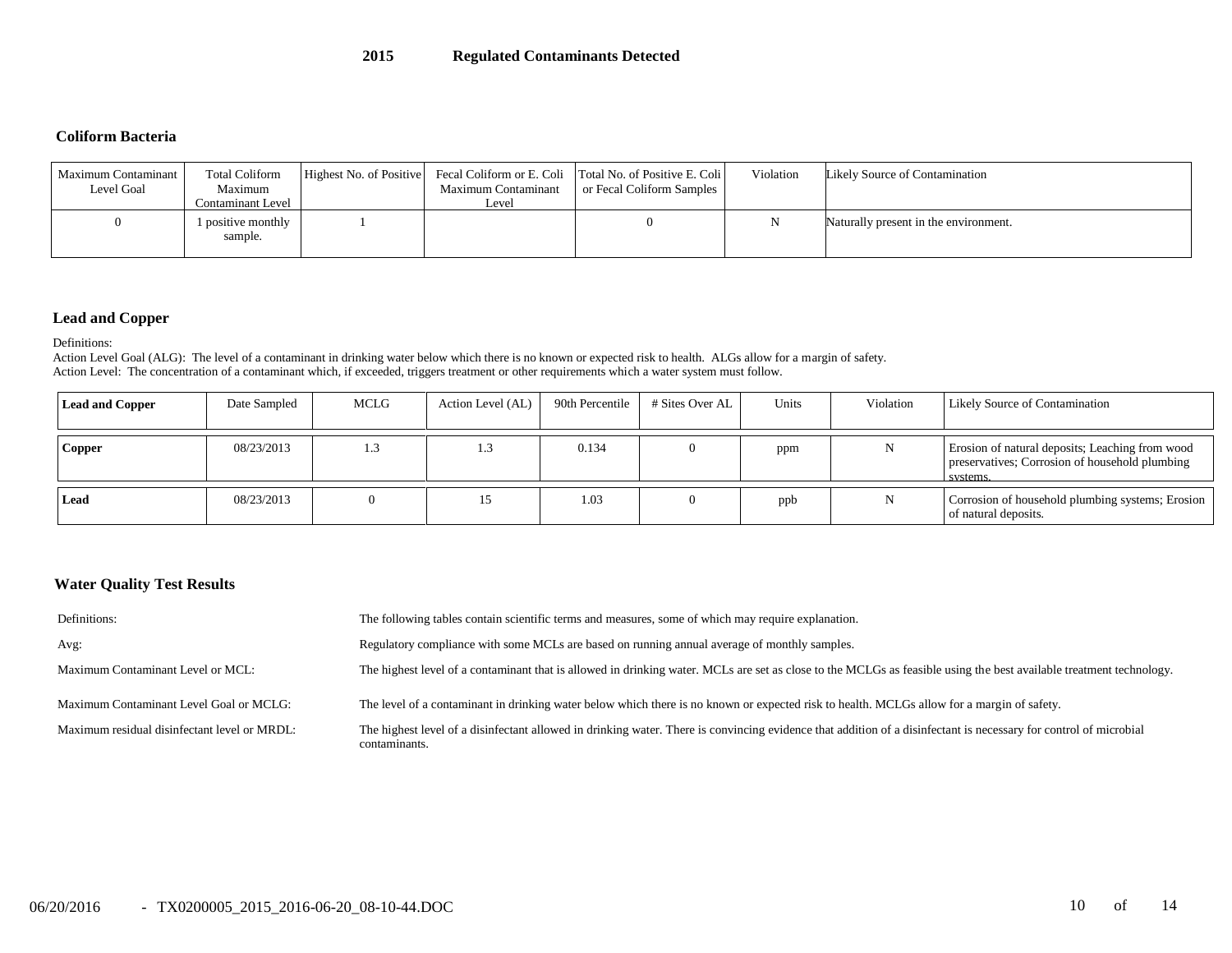#### **Coliform Bacteria**

| Maximum Contaminant<br>Level Goal | <b>Total Coliform</b><br>Maximum<br>Contaminant Level | Maximum Contaminant<br>Level | Highest No. of Positive Fecal Coliform or E. Coli Total No. of Positive E. Coli<br>or Fecal Coliform Samples | Violation | Likely Source of Contamination        |
|-----------------------------------|-------------------------------------------------------|------------------------------|--------------------------------------------------------------------------------------------------------------|-----------|---------------------------------------|
| $\theta$                          | 1 positive monthly<br>sample.                         |                              |                                                                                                              |           | Naturally present in the environment. |

## **Lead and Copper**

Definitions:

Action Level Goal (ALG): The level of a contaminant in drinking water below which there is no known or expected risk to health. ALGs allow for a margin of safety. Action Level: The concentration of a contaminant which, if exceeded, triggers treatment or other requirements which a water system must follow.

| <b>Lead and Copper</b> | Date Sampled | MCLG | Action Level (AL) | 90th Percentile | # Sites Over AL | Units | Violation | <b>Likely Source of Contamination</b>                                                                         |
|------------------------|--------------|------|-------------------|-----------------|-----------------|-------|-----------|---------------------------------------------------------------------------------------------------------------|
| <b>Copper</b>          | 08/23/2013   | 1.3  |                   | 0.134           |                 | ppm   |           | Erosion of natural deposits; Leaching from wood<br>preservatives; Corrosion of household plumbing<br>systems. |
| Lead                   | 08/23/2013   |      |                   | 1.03            |                 | ppb   |           | Corrosion of household plumbing systems; Erosion<br>of natural deposits.                                      |

## **Water Quality Test Results**

| Definitions:                                 | The following tables contain scientific terms and measures, some of which may require explanation.                                                                                 |
|----------------------------------------------|------------------------------------------------------------------------------------------------------------------------------------------------------------------------------------|
| Avg:                                         | Regulatory compliance with some MCLs are based on running annual average of monthly samples.                                                                                       |
| Maximum Contaminant Level or MCL:            | The highest level of a contaminant that is allowed in drinking water. MCLs are set as close to the MCLGs as feasible using the best available treatment technology.                |
| Maximum Contaminant Level Goal or MCLG:      | The level of a contaminant in drinking water below which there is no known or expected risk to health. MCLGs allow for a margin of safety.                                         |
| Maximum residual disinfectant level or MRDL: | The highest level of a disinfectant allowed in drinking water. There is convincing evidence that addition of a disinfectant is necessary for control of microbial<br>contaminants. |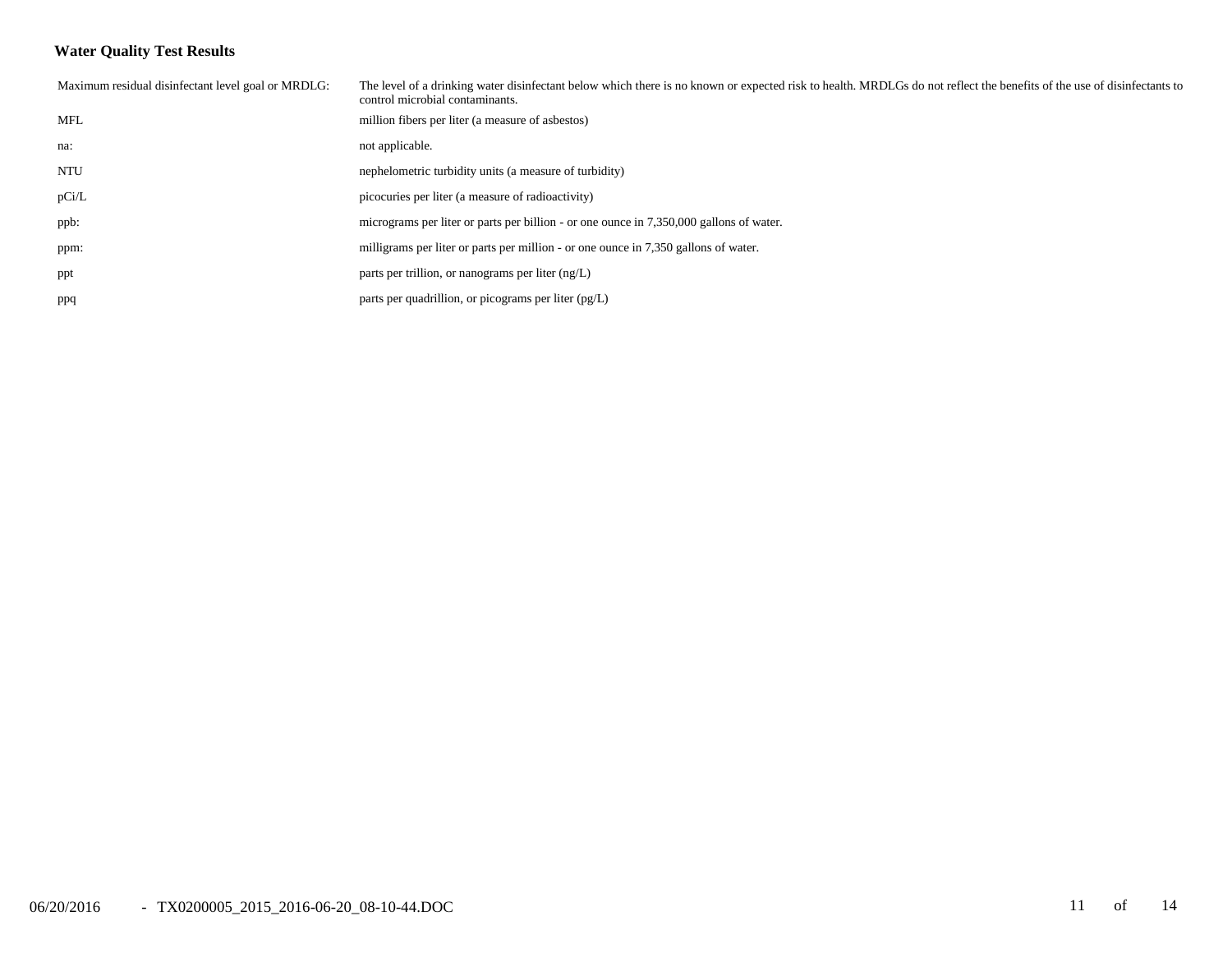## **Water Quality Test Results**

| Maximum residual disinfectant level goal or MRDLG: | The level of a drinking water disinfectant below which there is no known or expected risk to health. MRDLGs do not reflect the benefits of the use of disinfectants to<br>control microbial contaminants. |
|----------------------------------------------------|-----------------------------------------------------------------------------------------------------------------------------------------------------------------------------------------------------------|
| MFL                                                | million fibers per liter (a measure of asbestos)                                                                                                                                                          |
| na:                                                | not applicable.                                                                                                                                                                                           |
| <b>NTU</b>                                         | nephelometric turbidity units (a measure of turbidity)                                                                                                                                                    |
| pCi/L                                              | picocuries per liter (a measure of radioactivity)                                                                                                                                                         |
| ppb:                                               | micrograms per liter or parts per billion - or one ounce in 7,350,000 gallons of water.                                                                                                                   |
| ppm:                                               | milligrams per liter or parts per million - or one ounce in 7,350 gallons of water.                                                                                                                       |
| ppt                                                | parts per trillion, or nanograms per liter $(ng/L)$                                                                                                                                                       |
| ppq                                                | parts per quadrillion, or picograms per liter $(pg/L)$                                                                                                                                                    |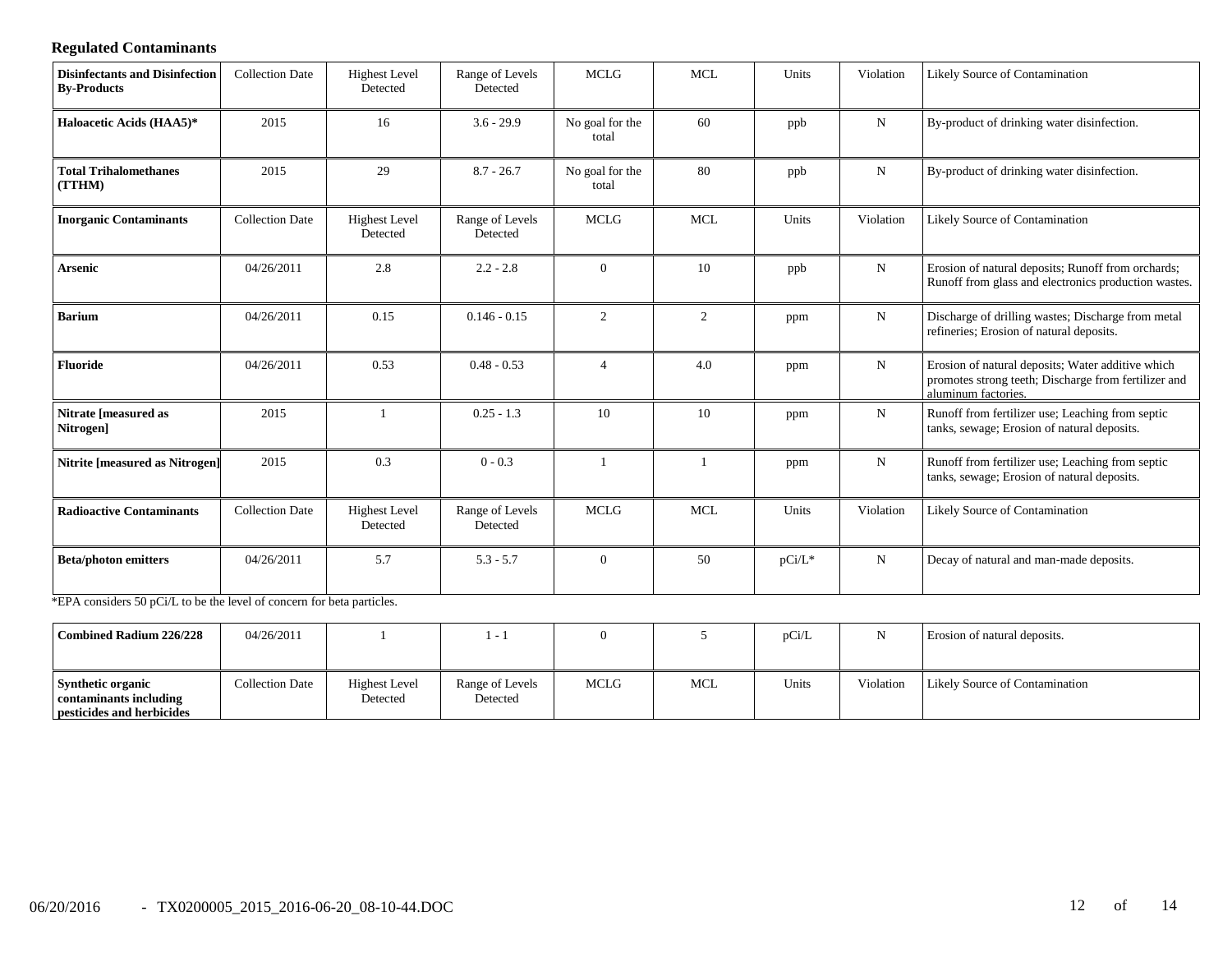## **Regulated Contaminants**

| <b>Disinfectants and Disinfection</b><br><b>By-Products</b>            | <b>Collection Date</b> | <b>Highest Level</b><br>Detected | Range of Levels<br>Detected | <b>MCLG</b>              | <b>MCL</b> | Units     | Violation   | Likely Source of Contamination                                                                                                   |
|------------------------------------------------------------------------|------------------------|----------------------------------|-----------------------------|--------------------------|------------|-----------|-------------|----------------------------------------------------------------------------------------------------------------------------------|
| Haloacetic Acids (HAA5)*                                               | 2015                   | 16                               | $3.6 - 29.9$                | No goal for the<br>total | 60         | ppb       | ${\bf N}$   | By-product of drinking water disinfection.                                                                                       |
| <b>Total Trihalomethanes</b><br>(TTHM)                                 | 2015                   | 29                               | $8.7 - 26.7$                | No goal for the<br>total | 80         | ppb       | $\mathbf N$ | By-product of drinking water disinfection.                                                                                       |
| <b>Inorganic Contaminants</b>                                          | <b>Collection Date</b> | <b>Highest Level</b><br>Detected | Range of Levels<br>Detected | <b>MCLG</b>              | <b>MCL</b> | Units     | Violation   | Likely Source of Contamination                                                                                                   |
| <b>Arsenic</b>                                                         | 04/26/2011             | 2.8                              | $2.2 - 2.8$                 | $\overline{0}$           | 10         | ppb       | ${\bf N}$   | Erosion of natural deposits; Runoff from orchards;<br>Runoff from glass and electronics production wastes.                       |
| <b>Barium</b>                                                          | 04/26/2011             | 0.15                             | $0.146 - 0.15$              | 2                        | 2          | ppm       | ${\bf N}$   | Discharge of drilling wastes; Discharge from metal<br>refineries; Erosion of natural deposits.                                   |
| <b>Fluoride</b>                                                        | 04/26/2011             | 0.53                             | $0.48 - 0.53$               | $\overline{4}$           | 4.0        | ppm       | N           | Erosion of natural deposits; Water additive which<br>promotes strong teeth; Discharge from fertilizer and<br>aluminum factories. |
| Nitrate [measured as<br>Nitrogen]                                      | 2015                   |                                  | $0.25 - 1.3$                | 10                       | 10         | ppm       | N           | Runoff from fertilizer use; Leaching from septic<br>tanks, sewage; Erosion of natural deposits.                                  |
| <b>Nitrite [measured as Nitrogen]</b>                                  | 2015                   | 0.3                              | $0 - 0.3$                   |                          |            | ppm       | ${\bf N}$   | Runoff from fertilizer use; Leaching from septic<br>tanks, sewage; Erosion of natural deposits.                                  |
| <b>Radioactive Contaminants</b>                                        | <b>Collection Date</b> | <b>Highest Level</b><br>Detected | Range of Levels<br>Detected | <b>MCLG</b>              | <b>MCL</b> | Units     | Violation   | Likely Source of Contamination                                                                                                   |
| <b>Beta/photon emitters</b>                                            | 04/26/2011             | 5.7                              | $5.3 - 5.7$                 | $\theta$                 | 50         | $pCi/L^*$ | N           | Decay of natural and man-made deposits.                                                                                          |
| *EPA considers 50 pCi/L to be the level of concern for beta particles. |                        |                                  |                             |                          |            |           |             |                                                                                                                                  |

| Combined Radium 226/228                                                         | 04/26/2011      |                                  |                             |      |            | pCi/L |           | Erosion of natural deposits.   |
|---------------------------------------------------------------------------------|-----------------|----------------------------------|-----------------------------|------|------------|-------|-----------|--------------------------------|
| <b>Synthetic organic</b><br>contaminants including<br>pesticides and herbicides | Collection Date | <b>Highest Level</b><br>Detected | Range of Levels<br>Detected | MCLG | <b>MCL</b> | Units | Violation | Likely Source of Contamination |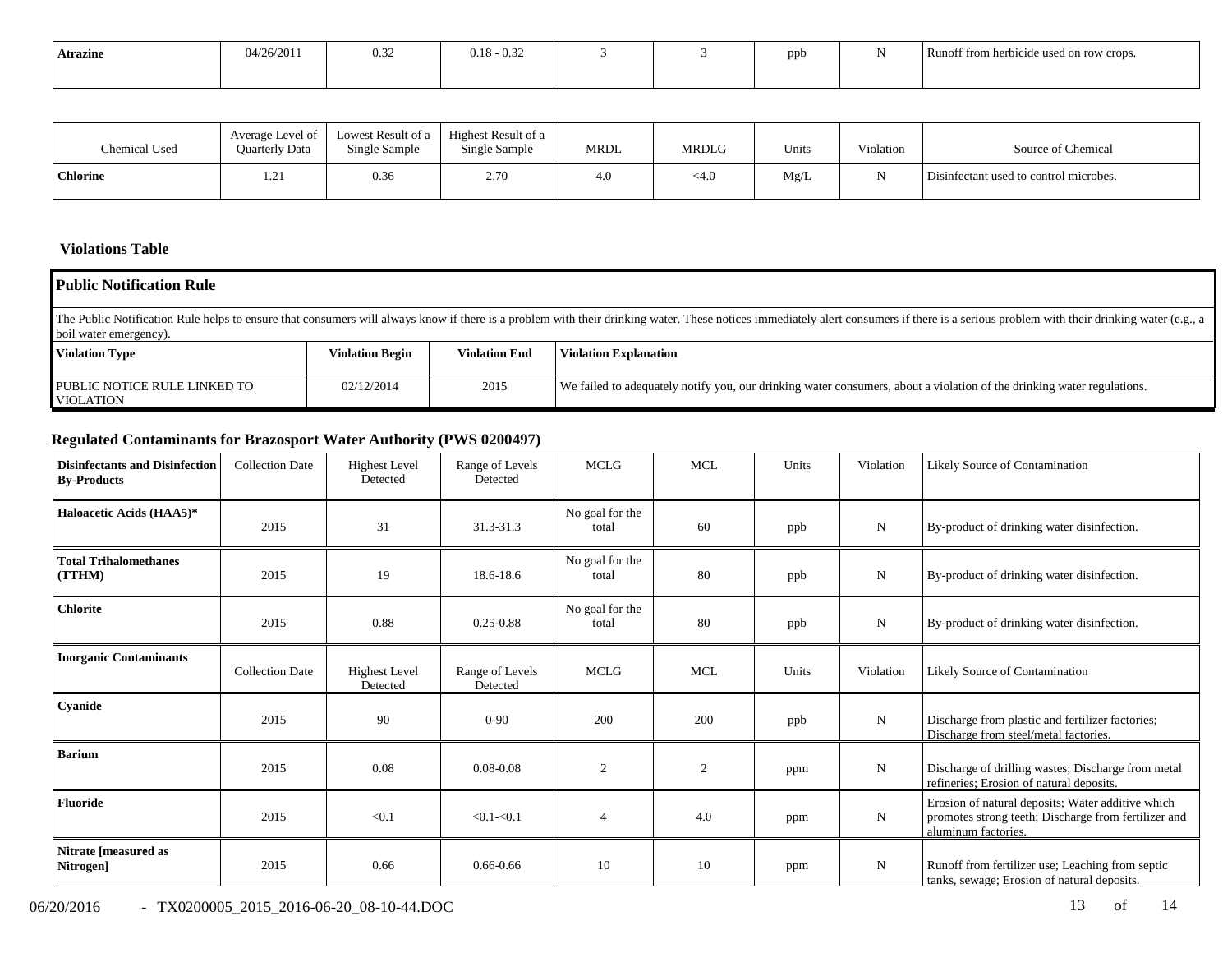| <b>Atrazine</b> | 04/26/2011 | 0.32 | $0.18 - 0.32$ |  | -nnh | Runoff from herbicide used on row crops. |
|-----------------|------------|------|---------------|--|------|------------------------------------------|
|                 |            |      |               |  |      |                                          |

| Chemical Used   | Average Level of<br><b>Ouarterly Data</b> | Lowest Result of a<br>Single Sample | Highest Result of a<br>Single Sample | MRDL | <b>MRDLG</b> | Units | Violation | Source of Chemical                     |
|-----------------|-------------------------------------------|-------------------------------------|--------------------------------------|------|--------------|-------|-----------|----------------------------------------|
| <b>Chlorine</b> | 1.21                                      | 0.36                                | 2.70                                 | 4.0  | <4.0         | Mg/L  |           | Disinfectant used to control microbes. |

## **Violations Table**

| <b>Public Notification Rule</b>                                                                                                                                                                                                                          |                                                                                |      |                                                                                                                        |  |  |  |  |  |  |
|----------------------------------------------------------------------------------------------------------------------------------------------------------------------------------------------------------------------------------------------------------|--------------------------------------------------------------------------------|------|------------------------------------------------------------------------------------------------------------------------|--|--|--|--|--|--|
| The Public Notification Rule helps to ensure that consumers will always know if there is a problem with their drinking water. These notices immediately alert consumers if there is a serious problem with their drinking wate<br>boil water emergency). |                                                                                |      |                                                                                                                        |  |  |  |  |  |  |
| <b>Violation Type</b>                                                                                                                                                                                                                                    | <b>Violation End</b><br><b>Violation Begin</b><br><b>Violation Explanation</b> |      |                                                                                                                        |  |  |  |  |  |  |
| PUBLIC NOTICE RULE LINKED TO<br><b>VIOLATION</b>                                                                                                                                                                                                         | 02/12/2014                                                                     | 2015 | We failed to adequately notify you, our drinking water consumers, about a violation of the drinking water regulations. |  |  |  |  |  |  |

# **Regulated Contaminants for Brazosport Water Authority (PWS 0200497)**

| <b>Disinfectants and Disinfection</b><br><b>By-Products</b> | <b>Collection Date</b> | <b>Highest Level</b><br>Detected | Range of Levels<br>Detected | <b>MCLG</b>              | <b>MCL</b> | Units | Violation   | <b>Likely Source of Contamination</b>                                                                                            |
|-------------------------------------------------------------|------------------------|----------------------------------|-----------------------------|--------------------------|------------|-------|-------------|----------------------------------------------------------------------------------------------------------------------------------|
| Haloacetic Acids (HAA5)*                                    | 2015                   | 31                               | 31.3-31.3                   | No goal for the<br>total | 60         | ppb   | N           | By-product of drinking water disinfection.                                                                                       |
| <b>Total Trihalomethanes</b><br>(TTHM)                      | 2015                   | 19                               | 18.6-18.6                   | No goal for the<br>total | 80         | ppb   | $\mathbf N$ | By-product of drinking water disinfection.                                                                                       |
| <b>Chlorite</b>                                             | 2015                   | 0.88                             | $0.25 - 0.88$               | No goal for the<br>total | 80         | ppb   | ${\bf N}$   | By-product of drinking water disinfection.                                                                                       |
| <b>Inorganic Contaminants</b>                               | <b>Collection Date</b> | <b>Highest Level</b><br>Detected | Range of Levels<br>Detected | MCLG                     | MCL        | Units | Violation   | <b>Likely Source of Contamination</b>                                                                                            |
| Cyanide                                                     | 2015                   | 90                               | $0 - 90$                    | 200                      | 200        | ppb   | $\mathbf N$ | Discharge from plastic and fertilizer factories;<br>Discharge from steel/metal factories.                                        |
| <b>Barium</b>                                               | 2015                   | 0.08                             | $0.08 - 0.08$               | 2                        | 2          | ppm   | ${\bf N}$   | Discharge of drilling wastes; Discharge from metal<br>refineries; Erosion of natural deposits.                                   |
| <b>Fluoride</b>                                             | 2015                   | < 0.1                            | $< 0.1 - 0.1$               | 4                        | 4.0        | ppm   | ${\bf N}$   | Erosion of natural deposits; Water additive which<br>promotes strong teeth; Discharge from fertilizer and<br>aluminum factories. |
| Nitrate [measured as<br>Nitrogen]                           | 2015                   | 0.66                             | $0.66 - 0.66$               | 10                       | 10         | ppm   | N           | Runoff from fertilizer use; Leaching from septic<br>tanks, sewage; Erosion of natural deposits.                                  |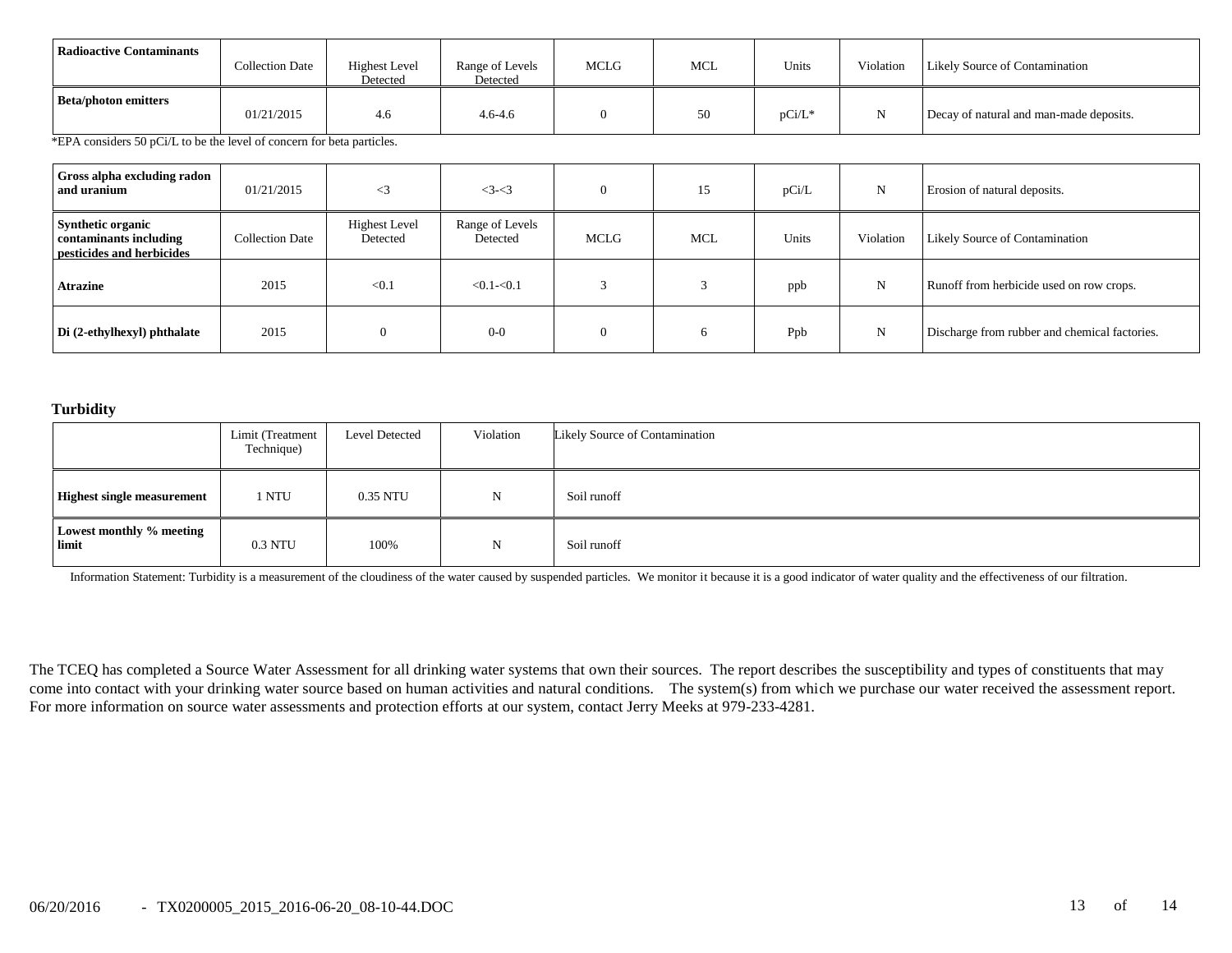| Radioactive Contaminants    | <b>Collection Date</b> | <b>Highest Level</b><br>Detected | Range of Levels<br>Detected | MCLG | <b>MCL</b> | Units     | Violation | <b>Likely Source of Contamination</b>   |
|-----------------------------|------------------------|----------------------------------|-----------------------------|------|------------|-----------|-----------|-----------------------------------------|
| <b>Beta/photon emitters</b> | 01/21/2015             | 4.6                              | $4.6 - 4.6$                 |      | 50         | $pCi/L^*$ |           | Decay of natural and man-made deposits. |

\*EPA considers 50 pCi/L to be the level of concern for beta particles.

| Gross alpha excluding radon  <br>and uranium                                    | 01/21/2015             | $\leq$ 3                         | $3 - 3$                     |      | 15  | pCi/L | $\mathbf N$ | Erosion of natural deposits.                  |
|---------------------------------------------------------------------------------|------------------------|----------------------------------|-----------------------------|------|-----|-------|-------------|-----------------------------------------------|
| <b>Synthetic organic</b><br>contaminants including<br>pesticides and herbicides | <b>Collection Date</b> | <b>Highest Level</b><br>Detected | Range of Levels<br>Detected | MCLG | MCL | Units | Violation   | Likely Source of Contamination                |
| <b>Atrazine</b>                                                                 | 2015                   | < 0.1                            | $< 0.1 - 0.1$               |      |     | ppb   | N           | Runoff from herbicide used on row crops.      |
| Di (2-ethylhexyl) phthalate                                                     | 2015                   | $\Omega$                         | $0 - 0$                     |      | 6   | Ppb   | N           | Discharge from rubber and chemical factories. |

#### **Turbidity**

|                                   | Limit (Treatment<br>Technique) | <b>Level Detected</b> | Violation | Likely Source of Contamination |
|-----------------------------------|--------------------------------|-----------------------|-----------|--------------------------------|
| <b>Highest single measurement</b> | 1 NTU                          | 0.35 NTU              | N         | Soil runoff                    |
| Lowest monthly % meeting<br>limit | 0.3 NTU                        | 100%                  | N         | Soil runoff                    |

Information Statement: Turbidity is a measurement of the cloudiness of the water caused by suspended particles. We monitor it because it is a good indicator of water quality and the effectiveness of our filtration.

The TCEQ has completed a Source Water Assessment for all drinking water systems that own their sources. The report describes the susceptibility and types of constituents that may come into contact with your drinking water source based on human activities and natural conditions. The system(s) from which we purchase our water received the assessment report. For more information on source water assessments and protection efforts at our system, contact Jerry Meeks at 979-233-4281.